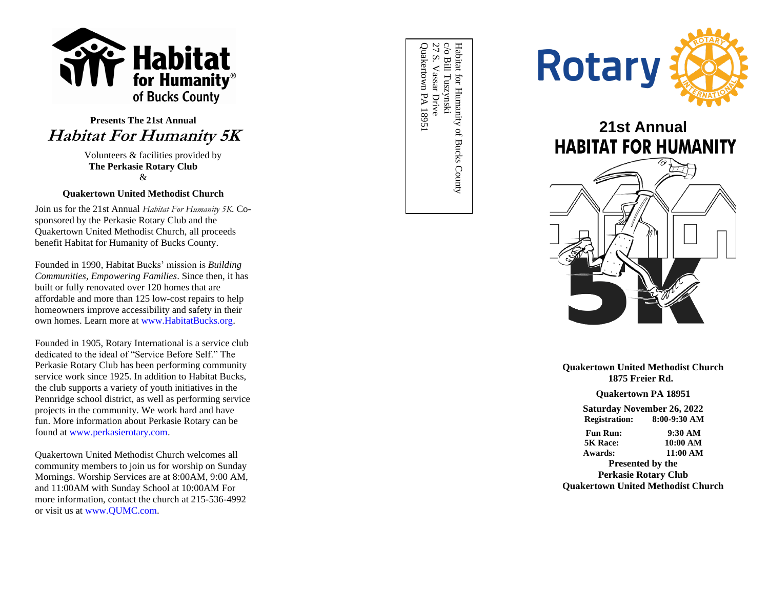

# **Presents The 21st Annual Habitat For Humanity 5K**

 Volunteers & facilities provided by **The Perkasie Rotary Club**  &

# **Quakertown United Methodist Church**

Join us for the 21st Annual *Habitat For Humanity 5K.* Co sponsored by the Perkasie Rotary Club and the Quakertown United Methodist Church, all proceeds benefit Habitat for Humanity of Bucks County.

Founded in 1990, Habitat Bucks' mission is *Building Communities, Empowering Families*. Since then, it has built or fully renovated over 120 homes that are affordable and more than 125 low -cost repairs to help homeowners improve accessibility and safety in their own homes. Learn more at [www.HabitatBucks.org.](http://www.habitatbucks.org/)

Founded in 1905, Rotary International is a service club dedicated to the ideal of "Service Before Self." The Perkasie Rotary Club has been performing community service work since 192 5. In addition to Habitat Bucks, the club supports a variety of youth initiatives in the Pennridge school district, as well as performing service projects in the community. We work hard and have fun. More information about Perkasie Rotary can be found a[t www.perkasierotary.com.](http://www.perkasierotary.com/)

Quakertown United Methodist Church welcomes all community members to join us for worship on Sunday Mornings. Worship Services are at 8:00AM, 9:00 AM, and 11:00AM with Sunday School at 10:00AM For more information, contact the church at 215-536-4992 or visit us a[t www.QUMC.com](http://www.qumc.com/) .

 $c/o$ Bill Tuszynski $27\ \mathrm{S}$ . Vassar Drive Habitat for Humanity of Bucks County Habitat for Humanity of Bucks CountyQuakertown PA 18951 Quakertown PA 18951 27 S. Vassar Drive c/o Bill Tuszynski



# **21st Annual HABITAT FOR HUMANITY**



# **Quakertown United Methodist Church 1875 Fr eier Rd.**

#### **Quakertown PA 18951**

**Saturday November 2 6, 202 2**  $Resistration:$ **-9:30 AM**

**Fun Run: 0 AM 5K Race: 10:00 AM Awards: 11:00 AM**

**Presented by the Perkasie Rotary Club Quakertown United Methodist Church**